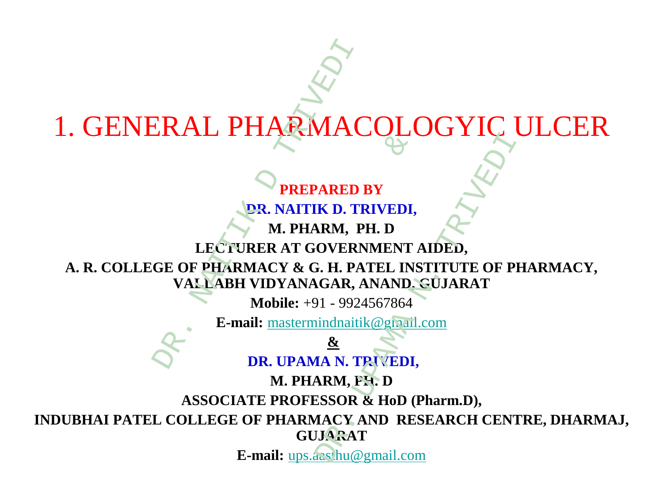# **PREPARED BY DR. NAITIK D. TRIVEDI, M. PHARM, PH. D LECTURER AT GOVERNMENT AIDED, A. R. COLLEGE OF PHARMACY & G. H. PATEL INSTITUTE OF PHARMACY, VALLABH VIDYANAGAR, ANAND, GUJARAT Mobile:** +91 - 9924567864 **E-mail:** [mastermindnaitik@gmail.com](mailto:mastermindnaitik@gmail.com) **& DR. UPAMA N. TRIVEDI, M. PHARM, PH. D ASSOCIATE PROFESSOR & HoD (Pharm.D), INDUBHAI PATEL COLLEGE OF PHARMACY AND RESEARCH CENTRE, DHARMAJ, GUJARAT E-mail:** [ups.aasthu@gmail.com](mailto:ups.aasthu@gmail.com) 1. GENERAL PHARMACOLOGYIC ULCER ERAL PHARMAC<br>
PREPARED 1<br>
DR. NAITIK D. TH<br>
DR. NAITIK D. TH<br>
M. PHARMACY & G. H. PA<br>
VALLABH VIDYANAGAR, A<br>
Mobile: +91 - 9924<br>
E-mail: mastermindnaitil **EXECUTE DEPARED BY<br>
PREPARED BY<br>
DR. NAITIK D. TRIVEDI,<br>
M. PHARM, PH. D<br>
RER AT GOVERNMENT<br>
MACY & G. H. PATEL INS<br>
VIDYANAGAR, ANAND,<br>
Mobile: +91 - 9924567864<br>
il: <u>mastermindnaitik@gmati</u><br>
<u>&</u><br>
DR. UPAMA N. TRIVEDI,<br>** VARED BY<br>
K D. TRIVEDI,<br>
K D. TRIVEDI,<br>
RM, PH. D<br>
OVERNMENT AIDED,<br>
F. H. PATEL INSTITUTE OF P.<br>
GAR, ANAND, GUJARAT<br>
11 - 9924567864<br>

indnaitik@gmail.com<br>
&<br>
IA N. TRIVEDI,<br>
RM, PH. D<br>
CSSOR & HoD (Pharm.D),<br>
IACY AND R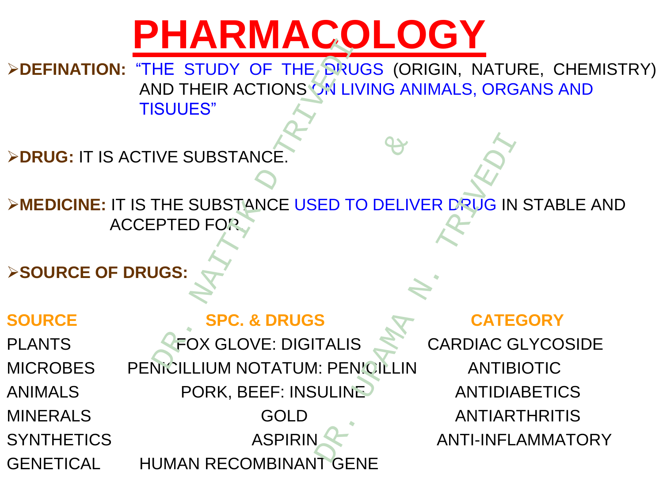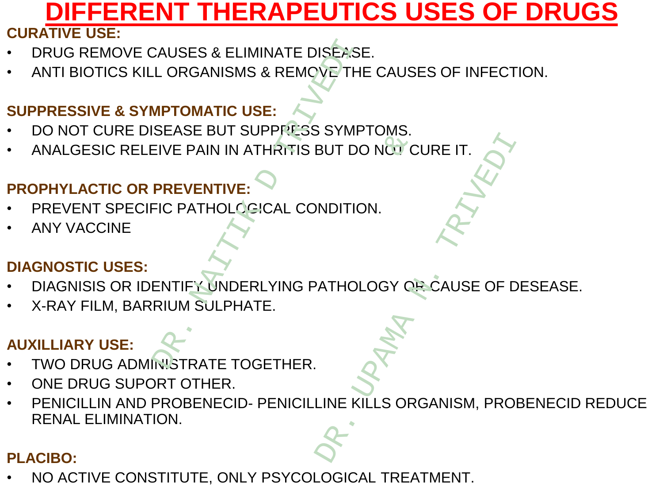# **DIFFERENT THERAPEUTICS USES OF DRUGS**

#### **CURATIVE USE:**

- DRUG REMOVE CAUSES & ELIMINATE DISEASE.
- ANTI BIOTICS KILL ORGANISMS & REMOVE THE CAUSES OF INFECTION.

#### **SUPPRESSIVE & SYMPTOMATIC USE:**

- DO NOT CURE DISEASE BUT SUPPRESS SYMPTOMS. EXAUSES & ELIMINATE DISÉASE<br>
L ORGANISMS & REMOYE THE<br>
NPTOMATIC USE:<br>
SEASE BUT SUPPRESS SYMP<br>
EIVE PAIN IN ATHRITIS BUT DO<br>
PREVENTIVE:<br>
FIC PATHOLOGICAL CONDITIC<br>
FIC PATHOLOGICAL CONDITIC<br>
RIUM SULPHATE.<br>
ATTIFY UNDERL
- ANALGESIC RELEIVE PAIN IN ATHRITIS BUT DO NOT CURE IT.

#### **PROPHYLACTIC OR PREVENTIVE:**

- PREVENT SPECIFIC PATHOLOGICAL CONDITION.
- ANY VACCINE

#### **DIAGNOSTIC USES:**

- DIAGNISIS OR IDENTIFY UNDERLYING PATHOLOGY OR CAUSE OF DESEASE.
- X-RAY FILM, BARRIUM SULPHATE.

#### **AUXILLIARY USE:**

- TWO DRUG ADMINISTRATE TOGETHER.
- ONE DRUG SUPORT OTHER.
- PENICILLIN AND PROBENECID- PENICILLINE KILLS ORGANISM, PROBENECID REDUCE RENAL ELIMINATION. NTHRITIS BUT DO NÓT C<br>GICAL CONDITION.<br>RLYING PATHOLOGY OF<br>TE.<br>JONGETHER. BUT DO NÓT CURE IT.

#### **PLACIBO:**

• NO ACTIVE CONSTITUTE, ONLY PSYCOLOGICAL TREATMENT.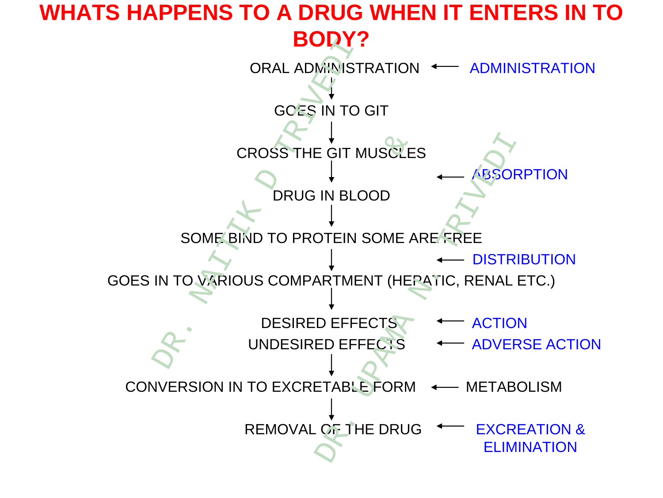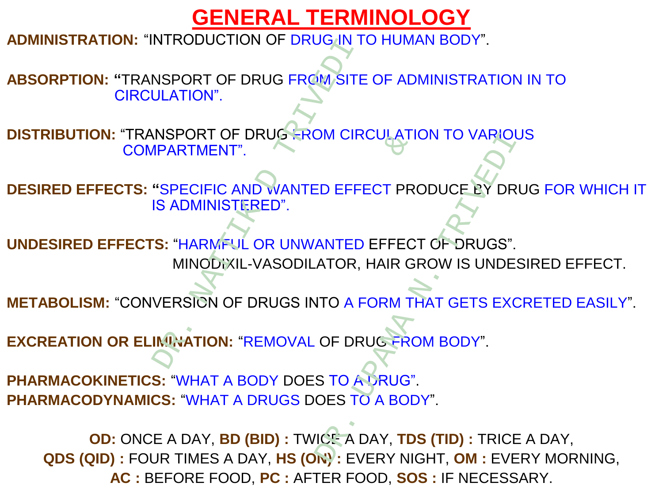# **GENERAL TERMINOLOGY**

**ADMINISTRATION:** "INTRODUCTION OF DRUG IN TO HUMAN BODY".

**ABSORPTION: "**TRANSPORT OF DRUG FROM SITE OF ADMINISTRATION IN TO CIRCULATION".

**DISTRIBUTION:** "TRANSPORT OF DRUG FROM CIRCULATION TO VARIOUS COMPARTMENT".

**DESIRED EFFECTS: "**SPECIFIC AND WANTED EFFECT PRODUCE BY DRUG FOR WHICH IT IS ADMINISTERED".

**UNDESIRED EFFECTS:** "HARMFUL OR UNWANTED EFFECT OF DRUGS". MINODIXIL-VASODILATOR, HAIR GROW IS UNDESIRED EFFECT. NTRODUCTION OF DRUG ANTENDATION<br>
NSPORT OF DRUG FROM SITE<br>
JLATION".<br>
NSPORT OF DRUG FROM CIR<br>
IPARTMENT".<br>
"SPECIFIC AND WANTED EFFI<br>
IS ADMINISTERED".<br>
S: "HARMFUL OR UNWANTED<br>
MINODIXIL-VASODILATOR,<br>
VERSION OF DRUGS IN ID WANTED EFFECT PRO<br>
RED".<br>
OR UNWANTED EFFECT<br>
VASODILATOR, HAIR GI<br>
DRUGS INTO A FORM TREMOVAL OF DRUGS TO A DRUG".<br>
DDY DOES TO A DRUG". DR. CHECATION TO VARIOUR<br>
ED EFFECT PRODUCE BY DR<br>
ANTED EFFECT OF DRUGS".<br>
ATOR, HAIR GROW IS UNDE<br>
ITO A FORM THAT GETS EXC<br>
OF DRUGTROM BODY".<br>
S TO ADRUG".<br>
OES TO A BODY".<br>
ICE, A DAY, TDS (TID) : TRICE

**METABOLISM:** "CONVERSION OF DRUGS INTO A FORM THAT GETS EXCRETED EASILY".

**EXCREATION OR ELIMINATION:** "REMOVAL OF DRUG FROM BODY".

**PHARMACOKINETICS:** "WHAT A BODY DOES TO A DRUG". **PHARMACODYNAMICS:** "WHAT A DRUGS DOES TO A BODY".

**OD:** ONCE A DAY, **BD (BID) :** TWICE A DAY, **TDS (TID) :** TRICE A DAY, **QDS (QID) :** FOUR TIMES A DAY, **HS (ON) :** EVERY NIGHT, **OM :** EVERY MORNING, **AC :** BEFORE FOOD, **PC :** AFTER FOOD, **SOS :** IF NECESSARY.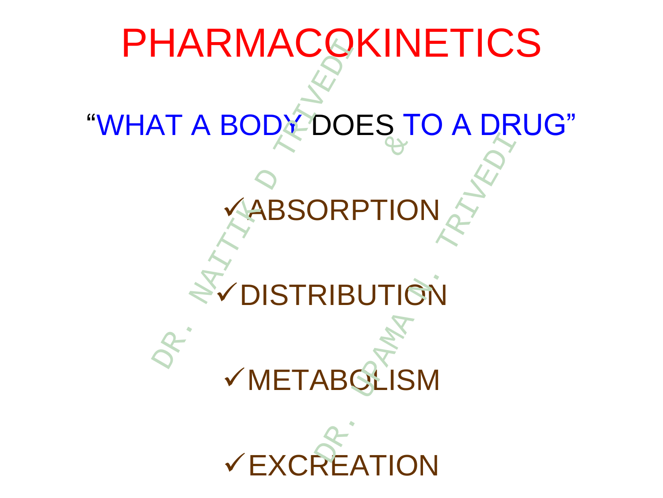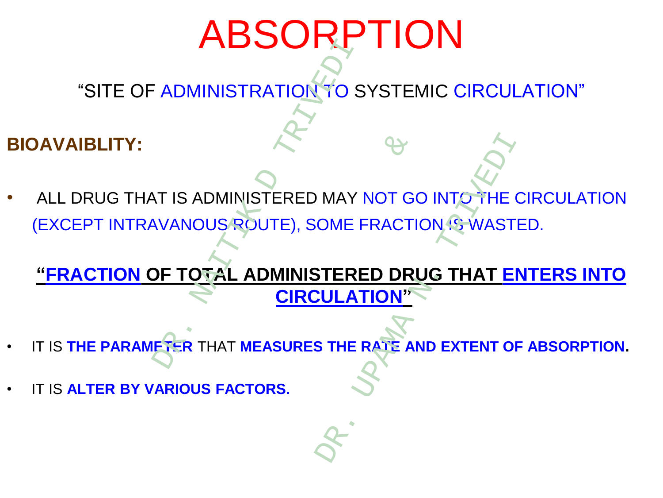# ABSORPTION

"SITE OF ADMINISTRATION TO SYSTEMIC CIRCULATION"

### **BIOAVAIBLITY:**

ALL DRUG THAT IS ADMINISTERED MAY NOT GO INTO THE CIRCULATION (EXCEPT INTRAVANOUS ROUTE), SOME FRACTION IS WASTED. ADMINISTRATION TO S<br>
THE ADMINISTERED MAY<br>
IVANOUS ROUTE), SOME F STERED MAY NOT GOTTER SOME FRACTICALLY AND CONTROLLATION TO THE SAME CAN ALLOW THE RATE APPEART ON THE RATE OF STRAND TORS. MAY NOT GO INTO THE COME FRACTION IS WAST<br>
STERED DRUG THAT E<br>
CULATION"

**"FRACTION OF TOTAL ADMINISTERED DRUG THAT ENTERS INTO CIRCULATION"**

- IT IS **THE PARAMETER** THAT **MEASURES THE RATE AND EXTENT OF ABSORPTION.**
- IT IS **ALTER BY VARIOUS FACTORS.**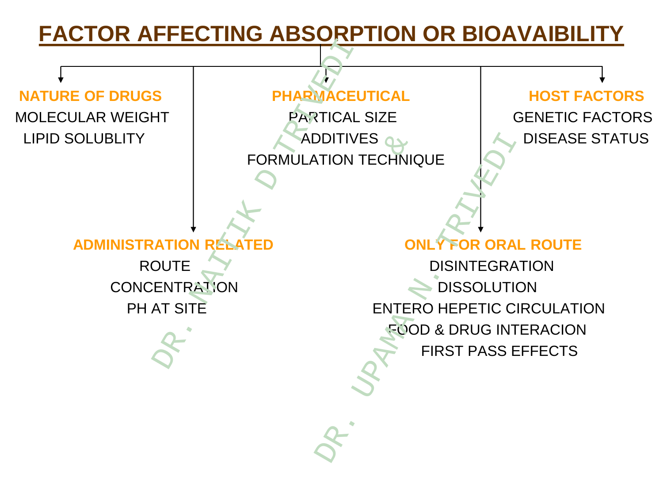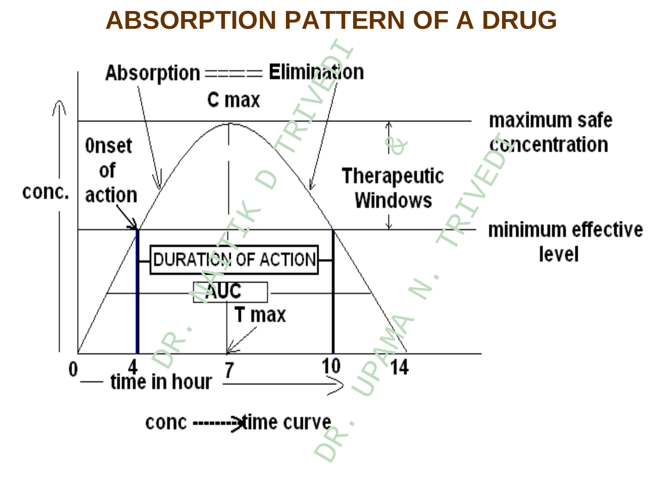**ABSORPTION PATTERN OF A DRUG**

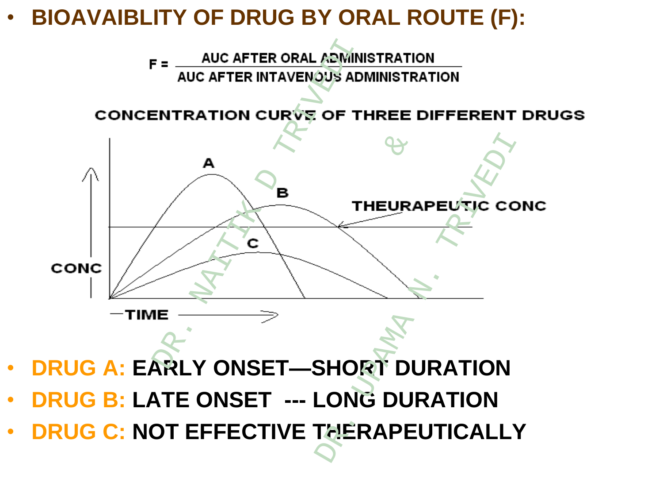# • **BIOAVAIBLITY OF DRUG BY ORAL ROUTE (F):**



- **DRUG A: EARLY ONSET—SHORT DURATION**
- **DRUG B: LATE ONSET --- LONG DURATION**
- **DRUG C: NOT EFFECTIVE THERAPEUTICALLY**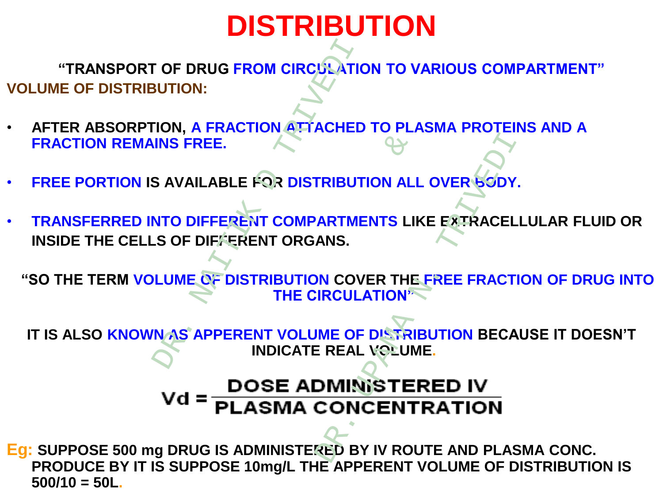# **DISTRIBUTION**

**"TRANSPORT OF DRUG FROM CIRCULATION TO VARIOUS COMPARTMENT" VOLUME OF DISTRIBUTION:**

- **AFTER ABSORPTION, A FRACTION ATTACHED TO PLASMA PROTEINS AND A FRACTION REMAINS FREE.**
- **FREE PORTION IS AVAILABLE FOR DISTRIBUTION ALL OVER BODY.**
- **TRANSFERRED INTO DIFFERENT COMPARTMENTS LIKE EXTRACELLULAR FLUID OR INSIDE THE CELLS OF DIFFERENT ORGANS.** FROM CIRCULATION<br>
TOR DRUG FROM CIRCULATION<br>
TON, A FRACTION ATTACHED<br>
INS FREE.<br>
S AVAILABLE FOR DISTRIBUT<br>
NTO DIFFERENT COMPARTME<br>
S OF DIFFERENT ORGANS.<br>
LUME OF DISTRIBUTION COV<br>
THE CIRCUL<br>
NAS APPERENT VOLUME OF

**"SO THE TERM VOLUME OF DISTRIBUTION COVER THE FREE FRACTION OF DRUG INTO THE CIRCULATION"**

**IT IS ALSO KNOWN AS APPERENT VOLUME OF DISTRIBUTION BECAUSE IT DOESN'T INDICATE REAL VOLUME.**

# TRIBUTION ALL OVER SODY<br>
TRIBUTION ALL OVER SODY<br>
ARTMENTS LIKE EXTRACEL<br>
ANS.<br>
N. COVER THE FREE FRACT<br>
REAL VOLUME.<br>
D. TREAL VOLUME.<br>
D. CONCENTRATION<br>
CONCENTRATION FOR DISTRIBUTION ALL<br>
NOR DISTRIBUTION ALL<br>
NORT COMPARTMENTS LII<br>
ENT ORGANS.<br>
TRIBUTION COVER THE<br>
THE CIRCULATION<sup>®</sup><br>
ENT VOLUME OF DISTRI<br>
INDICATE REAL VOLUM<br>
DSE ADMINISTE!<br>
ASMA CONCENT  $Vol =$

**Eg: SUPPOSE 500 mg DRUG IS ADMINISTERED BY IV ROUTE AND PLASMA CONC. PRODUCE BY IT IS SUPPOSE 10mg/L THE APPERENT VOLUME OF DISTRIBUTION IS 500/10 = 50L.**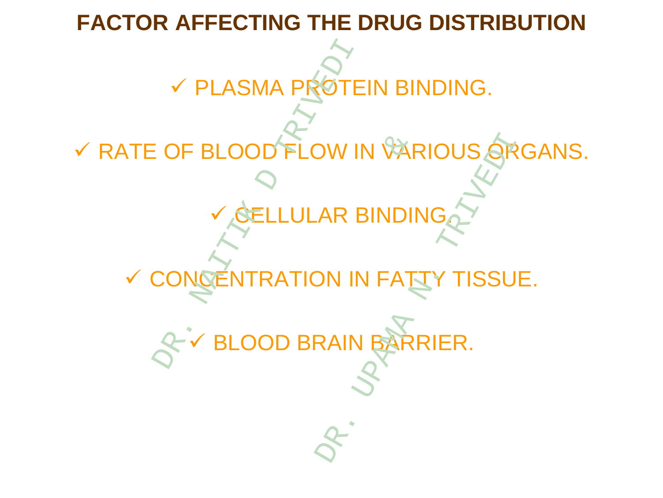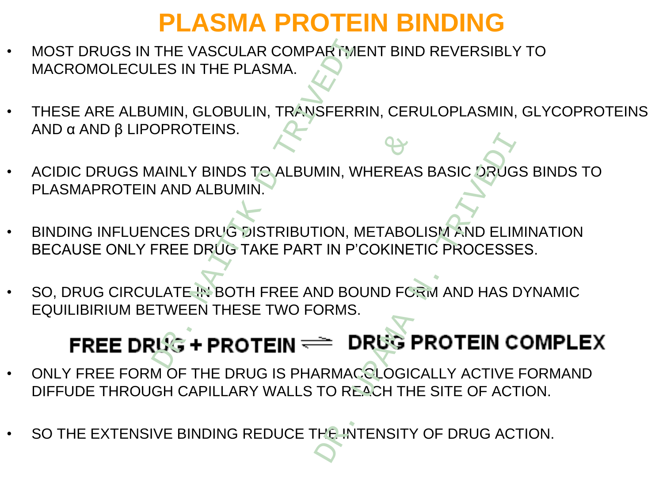# **PLASMA PROTEIN BINDING**

- MOST DRUGS IN THE VASCULAR COMPARTMENT BIND REVERSIBLY TO MACROMOLECULES IN THE PLASMA.
- THESE ARE ALBUMIN, GLOBULIN, TRANSFERRIN, CERULOPLASMIN, GLYCOPROTEINS AND α AND β LIPOPROTEINS.
- ACIDIC DRUGS MAINLY BINDS TO ALBUMIN, WHEREAS BASIC DRUGS BINDS TO PLASMAPROTEIN AND ALBUMIN.
- BINDING INFLUENCES DRUG DISTRIBUTION, METABOLISM AND ELIMINATION BECAUSE ONLY FREE DRUG TAKE PART IN P'COKINETIC PROCESSES. THE VASCULAR COMPARTME<br>
LES IN THE PLASMA.<br>
UMIN, GLOBULIN, TRANSFERR<br>
DPROTEINS.<br>
AINLY BINDS TO ALBUMIN, WI<br>
AINLY BINDS TO ALBUMIN, WI<br>
I AND ALBUMIN.<br>
TREE DRUG DISTRIBUTION, M<br>
TREE DRUG TAKE PART IN P'C<br>
ILATE IN BOT TO ALBUMIN, WHEREAS MIN, WHEREAS BASIC DRUG<br>
TION, METABOLISM AND ELIN<br>
TION, METABOLISM AND ELIN<br>
TIN P'COKINETIC PROCESSI<br>
ND BOUND FORM AND HAS I<br>
DRUG PROTEIN C<br>
RAMACOLOGICALLY ACTIVE<br>
TO REACH THE SITE OF ACT<br>
THE INTENSITY OF DRUG AC
- SO, DRUG CIRCULATE IN BOTH FREE AND BOUND FORM AND HAS DYNAMIC EQUILIBIRIUM BETWEEN THESE TWO FORMS.

- ONLY FREE FORM OF THE DRUG IS PHARMACOLOGICALLY ACTIVE FORMAND DIFFUDE THROUGH CAPILLARY WALLS TO REACH THE SITE OF ACTION.
- SO THE EXTENSIVE BINDING REDUCE THE INTENSITY OF DRUG ACTION.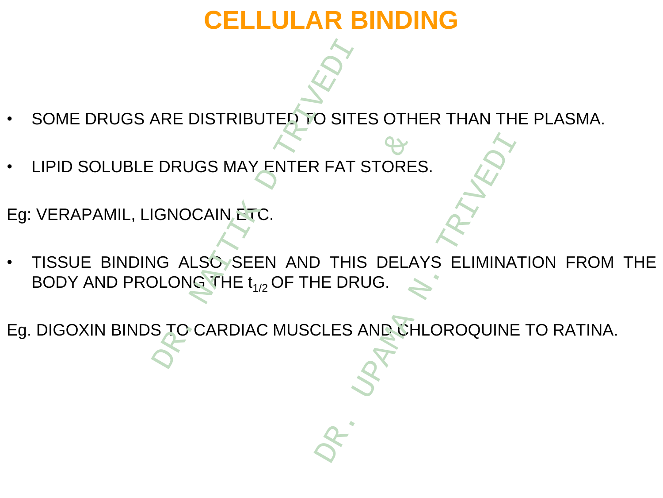# **CELLULAR BINDING**

- SOME DRUGS ARE DISTRIBUTED TO SITES OTHER THAN THE PLASMA.
- LIPID SOLUBLE DRUGS MAY ENTER FAT STORES.

Eg: VERAPAMIL, LIGNOCAIN ETC.

TISSUE BINDING ALSO SEEN AND THIS DELAYS ELIMINATION FROM THE BODY AND PROLONG THE  $t_{1/2}$  OF THE DRUG. ARE DISTRIBUTED TO SITE<br>
DRUGS MAY ENTER FAT S<br>
GNOCAIN ETC.<br>
IG ALSÓ SEEN AND THIS<br>
DLONG THE  $t_{1/2}$  OF THE DRUS<br>
S TO CARDIAC MUSCLES A  $X$ <br>
ENTER FAT STORE<br>
FC.<br>
EEN AND THIS DELA<br>
EEN AND THIS DELA<br>
AC MUSCLES AND CH PRIT STORES.

Eg. DIGOXIN BINDS TO CARDIAC MUSCLES AND CHLOROQUINE TO RATINA.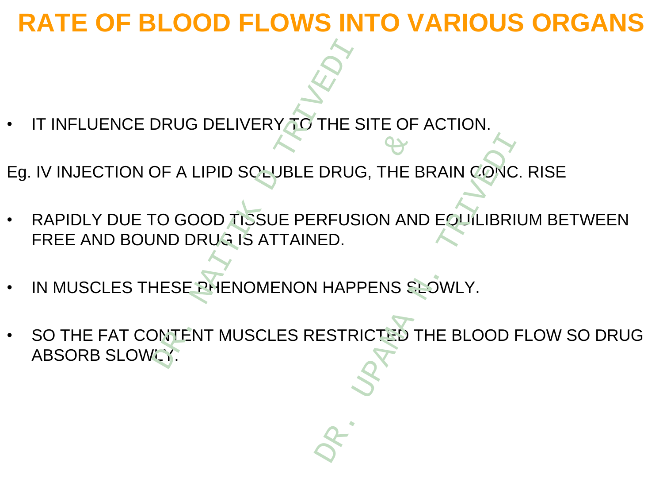# **RATE OF BLOOD FLOWS INTO VARIOUS ORGANS**

- IT INFLUENCE DRUG DELIVERY TO THE SITE OF ACTION.
- Eg. IV INJECTION OF A LIPID SOLUBLE DRUG, THE BRAIN CONC. RISE
- RAPIDLY DUE TO GOOD TISSUE PERFUSION AND EQUILIBRIUM BETWEEN FREE AND BOUND DRUG IS ATTAINED.
- IN MUSCLES THESE PHENOMENON HAPPENS SLOWLY.
- SO THE FAT CONTENT MUSCLES RESTRICTED THE BLOOD FLOW SO DRUG ABSORB SLOWLY:<br>
ABSORB SLOWLY.<br>
ABSORB SLOWLY DUE TO GOOD TISSUE PERFUSI<br>
FREE AND BOUND DRUGJS ATTAINED.<br>
NAITIANED.<br>
ABSORB SLOWLY: OLUBLE DRUG, THE RESIDE PERFUSION AN<br>SATTAINED.<br>SATTAINED.<br>SCLES RESTRICTED ORUG, THE BRAIN CONC<br>
RFUSION AND EQUILIBRI<br>
ED.<br>
HAPPENS SLOWLY.<br>
ESTRICTED THE BLOOD I

$$
\delta_{\!\mathcal{R}}.
$$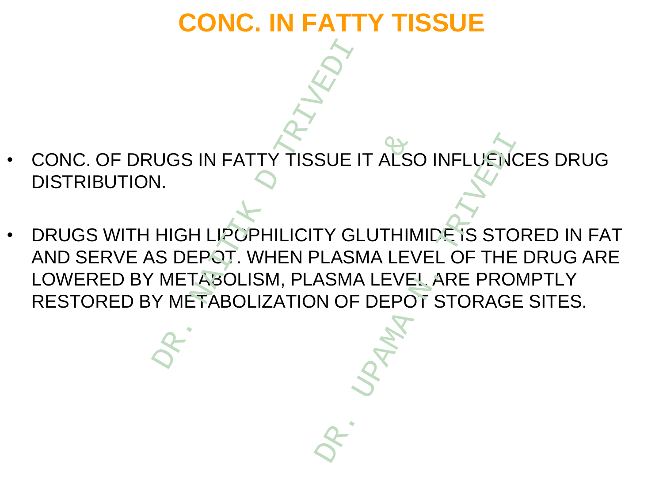# **CONC. IN FATTY TISSUE**

- CONC. OF DRUGS IN FATTY TISSUE IT ALSO INFLUENCES DRUG DISTRIBUTION.
- DRUGS WITH HIGH LIPOPHILICITY GLUTHIMIDE IS STORED IN FAT AND SERVE AS DEPOT. WHEN PLASMA LEVEL OF THE DRUG ARE LOWERED BY METABOLISM, PLASMA LEVEL ARE PROMPTLY RESTORED BY METABOLIZATION OF DEPOT STORAGE SITES. DR. NAITIK D TRIVEDI TTY TISSUE IT ALSO<br>
PHILICITY GLUTHIN<br>
WHEN PLASMA LEVE<br>
ISM, PLASMA LEVE<br>
LIZATION OF DEPO SUE IT ALSO INFLUENCE<br>
TY GLUTHIMIDE IS STO<br>
PLASMA LEVEL OF THE<br>
ASMA LEVEL ARE PRO<br>
N OF DEPOT STORAGE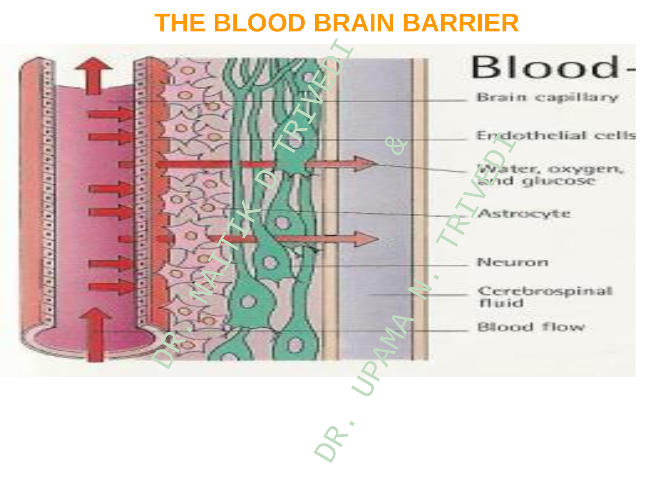# **THE BLOOD BRAIN BARRIER**

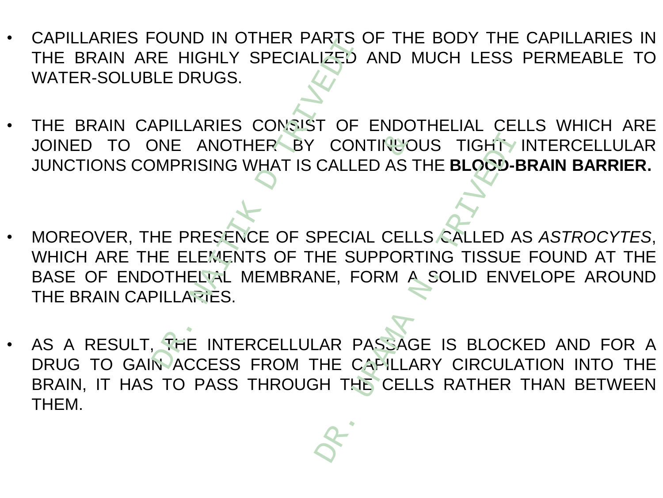- CAPILLARIES FOUND IN OTHER PARTS OF THE BODY THE CAPILLARIES IN THE BRAIN ARE HIGHLY SPECIALIZED AND MUCH LESS PERMEABLE TO WATER-SOLUBLE DRUGS.
- THE BRAIN CAPILLARIES CONSIST OF ENDOTHELIAL CELLS WHICH ARE JOINED TO ONE ANOTHER BY CONTINUOUS TIGHT INTERCELLULAR JUNCTIONS COMPRISING WHAT IS CALLED AS THE **BLOOD-BRAIN BARRIER.**
- MOREOVER, THE PRESENCE OF SPECIAL CELLS CALLED AS *ASTROCYTES*, WHICH ARE THE ELEMENTS OF THE SUPPORTING TISSUE FOUND AT THE BASE OF ENDOTHELIAL MEMBRANE, FORM A SOLID ENVELOPE AROUND THE BRAIN CAPILLARIES. COND IN OTHER TARYON
- AS A RESULT, THE INTERCELLULAR PASSAGE IS BLOCKED AND FOR A DRUG TO GAIN ACCESS FROM THE CAPILLARY CIRCULATION INTO THE BRAIN, IT HAS TO PASS THROUGH THE CELLS RATHER THAN BETWEEN THEM. NERARY CONTINUS<br>
THAT IS CALLED AS THE SUPPORT<br>
THE SUPPORT<br>
THE SUPPORT<br>
THE SUPPORT<br>
THE SUPPORT<br>
THE CAPILLA<br>
THROUGH THE CELL CONTINUOUS TIGHT

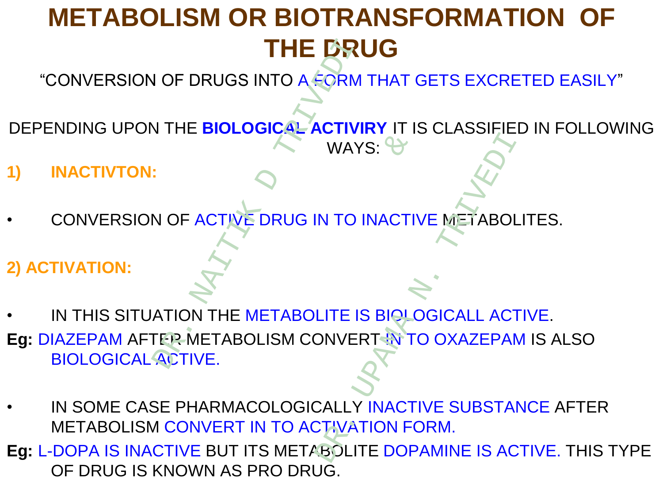# **METABOLISM OR BIOTRANSFORMATION OF THE DRUG**

"CONVERSION OF DRUGS INTO A FORM THAT GETS EXCRETED EASILY"

- DEPENDING UPON THE **BIOLOGICAL ACTIVIRY** IT IS CLASSIFIED IN FOLLOWING WAYS:  $\leftrightarrow$
- **1) INACTIVTON:**
- CONVERSION OF ACTIVE DRUG IN TO INACTIVE METABOLITES.
- **2) ACTIVATION:**
- IN THIS SITUATION THE METABOLITE IS BIOLOGICALL ACTIVE.
- **Eg: DIAZEPAM AFTER METABOLISM CONVERT IN TO OXAZEPAM IS ALSO** BIOLOGICAL ACTIVE. THE DRU<br>
DRUGS INTO A FORM<br>
NATHE BIOLOGICAL ACTIVI<br>
NAY<br>
NOF ACTIVE DRUG IN TO I & WAYS:  $\leftrightarrow$ <br>
N. TO INACTIVE METABOL<br>
N. TO INACTIVE METABOL<br>
LITE IS BIOLOGICALL ACT<br>
DNVERT INTO OXAZEPAN<br>
CALLY INACTIVE SUBSTAR<br>
CTIVATION FORM.<br>
MEQLITE DOPAMINE IS ACT
- IN SOME CASE PHARMACOLOGICALLY INACTIVE SUBSTANCE AFTER METABOLISM CONVERT IN TO ACTIVATION FORM.
- **Eg:** L-DOPA IS INACTIVE BUT ITS METABOLITE DOPAMINE IS ACTIVE. THIS TYPE OF DRUG IS KNOWN AS PRO DRUG.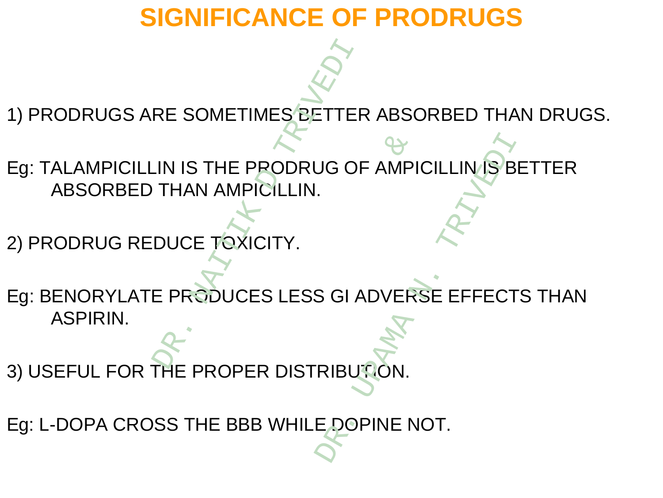# **SIGNIFICANCE OF PRODRUGS**

1) PRODRUGS ARE SOMETIMES BETTER ABSORBED THAN DRUGS.

- Eg: TALAMPICILLIN IS THE PRODRUG OF AMPICILLINAS BETTER ABSORBED THAN AMPICILLIN.
- 2) PRODRUG REDUCE TOXICITY.
- Eg: BENORYLATE PRODUCES LESS GI ADVERSE EFFECTS THAN ASPIRIN. RE SOMETIMES BETTER<br>
IN IS THE PRODRUG OF<br>
THAN AMPICILLIN.<br>
DUCE TOXICITY.<br>
E PRODUCES LESS GI A & UG OF AMPICILLINAS B
- 3) USEFUL FOR THE PROPER DISTRIBUTION.
- Eg: L-DOPA CROSS THE BBB WHILE DOPINE NOT.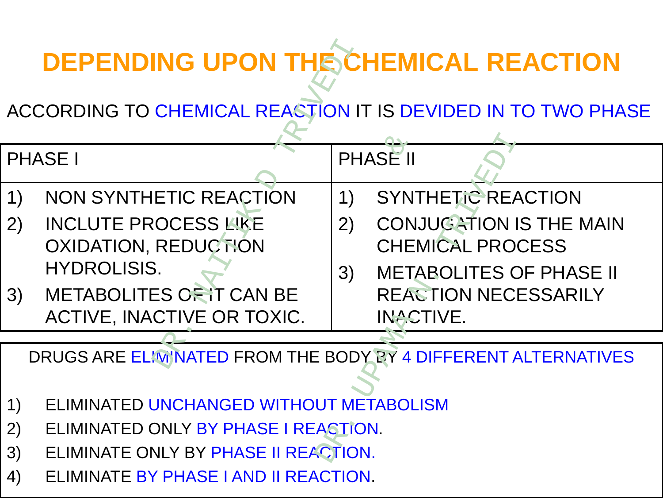# **DEPENDING UPON THE CHEMICAL REACTION**

| <b>DEPENDING UPON THE CHEMICAL REACTION</b>                    |                                                            |                     |                                                           |
|----------------------------------------------------------------|------------------------------------------------------------|---------------------|-----------------------------------------------------------|
| ACCORDING TO CHEMICAL REACTION IT IS DEVIDED IN TO TWO PHASE   |                                                            |                     |                                                           |
| <b>PHASE I</b>                                                 |                                                            | PHASE <sup>II</sup> |                                                           |
| 1)                                                             | <b>NON SYNTHETIC REACTION</b>                              | 1)                  | <b>SYNTHETIC REACTION</b>                                 |
| 2)                                                             | <b>INCLUTE PROCESS LIKE</b><br><b>OXIDATION, REDUCTION</b> | 2)                  | <b>CONJUGATION IS THE MAIN</b><br><b>CHEMICAL PROCESS</b> |
|                                                                | <b>HYDROLISIS.</b>                                         | 3)                  | <b>METABOLITES OF PHASE II</b>                            |
| 3)                                                             | METABOLITES OF IT CAN BE                                   |                     | <b>REACTION NECESSARILY</b>                               |
|                                                                | ACTIVE, INACTIVE OR TOXIC.                                 |                     | <b>INACTIVE.</b>                                          |
| DRUGS ARE ELIMINATED FROM THE BODY BY 4 DIFFERENT ALTERNATIVES |                                                            |                     |                                                           |
|                                                                |                                                            |                     |                                                           |
| 1)                                                             | ELIMINATED UNCHANGED WITHOUT METABOLISM                    |                     |                                                           |
| 2)                                                             | ELIMINATED ONLY BY PHASE I REACTION.                       |                     |                                                           |
| 3)                                                             | ELIMINATE ONLY BY PHASE II REACTION.                       |                     |                                                           |

- 1) ELIMINATED UNCHANGED WITHOUT METABOLISM
- 2) ELIMINATED ONLY BY PHASE I REACTION.
- 3) ELIMINATE ONLY BY PHASE II REACTION.
- 4) ELIMINATE BY PHASE I AND II REACTION.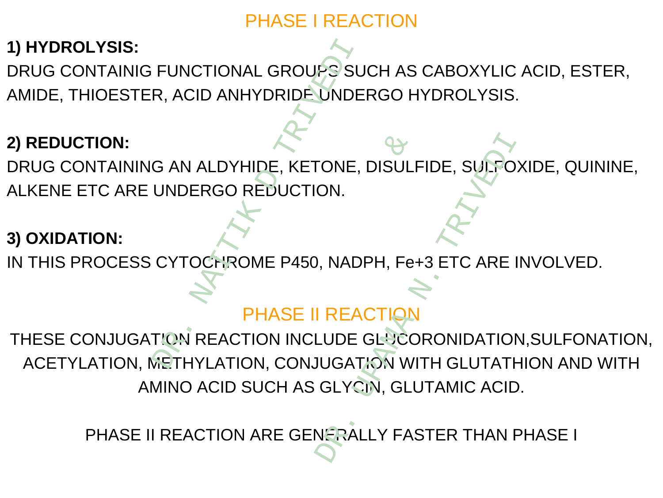#### PHASE I REACTION

# **1) HYDROLYSIS:**

DRUG CONTAINIG FUNCTIONAL GROUPS SUCH AS CABOXYLIC ACID, ESTER, AMIDE, THIOESTER, ACID ANHYDRIDE UNDERGO HYDROLYSIS. FUNCTIONAL GROUPS SU<br>
R, ACID ANHYDRIDE UNDE<br>
G AN ALDYHIDE, KETONE,<br>
UNDERGO REDUCTION.<br>
CYTOCHROME P450, NADI<br>
PHASE II REACTION INCLUDE

#### **2) REDUCTION:**

DRUG CONTAINING AN ALDYHIDE, KETONE, DISULFIDE, SULFOXIDE, QUININE, ALKENE ETC ARE UNDERGO REDUCTION.

#### **3) OXIDATION:**

IN THIS PROCESS CYTOCHROME P450, NADPH, Fe+3 ETC ARE INVOLVED.

# PHASE II REACTIO

THESE CONJUGATION REACTION INCLUDE GLUCORONIDATION, SULFONATION, ACETYLATION, METHYLATION, CONJUGATION WITH GLUTATHION AND WITH AMINO ACID SUCH AS GLYCIN, GLUTAMIC ACID. IIDE, KETONE, DISULE<br>REDUCTION.<br>WE P450, NADPH, Fe-<br>PHASE II REACTION<br>ION INCLUDE GLUCC<br>DN, CONJUGATION WI FONE, DISULFIDE, SUFFO<br>
ON.<br>
DR. NADPH, Fe+3 ETC ARE<br>
DREACTION<br>
UDE GLUCORONIDATION<br>
UDE GLUCORONIDATION<br>
NERALLY FASTER THAN F

PHASE II REACTION ARE GENERALLY FASTER THAN PHASE I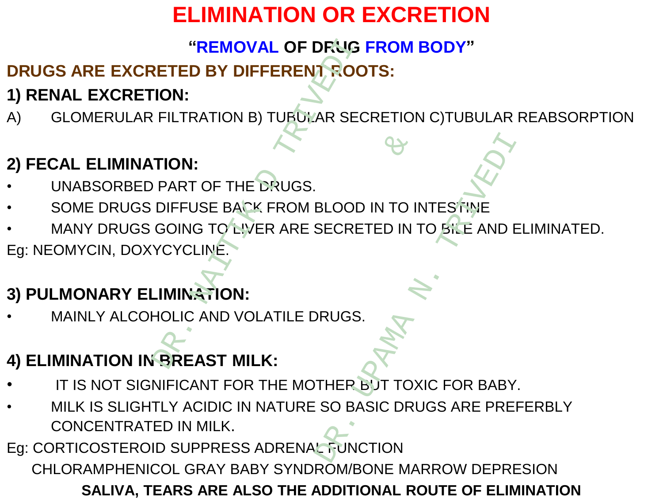# **ELIMINATION OR EXCRETION**

#### **"REMOVAL OF DRUG FROM BODY"**

# **DRUGS ARE EXCRETED BY DIFFERENT ROOTS:**  "REMOVAL OF DRUG"<br>
"ETED BY DIFFERENT ROCTON:<br>
TION:<br>
FILTRATION B) TUBULAR SECTION:<br>
PART OF THE DRUGS.<br>
DIFFUSE BACK FROM BLOOD<br>
GOING TO LIVER ARE SECRE<br>
YCYCLINE.<br>
-IMINATION:<br>
HOLIC AND VOLATILE DRUGS.

# **1) RENAL EXCRETION:**

A) GLOMERULAR FILTRATION B) TUBULAR SECRETION C)TUBULAR REABSORPTION

#### **2) FECAL ELIMINATION:**

- UNABSORBED PART OF THE DRUGS.
- SOME DRUGS DIFFUSE BACK FROM BLOOD IN TO INTESTINE
- MANY DRUGS GOING TO LIVER ARE SECRETED IN TO BILE AND ELIMINATED.

Eg: NEOMYCIN, DOXYCYCLINE.

# **3) PULMONARY ELIMINATION:**

MAINLY ALCOHOLIC AND VOLATILE DRUGS.

# **4) ELIMINATION IN BREAST MILK:**

- IT IS NOT SIGNIFICANT FOR THE MOTHER BUT TOXIC FOR BABY.
- MILK IS SLIGHTLY ACIDIC IN NATURE SO BASIC DRUGS ARE PREFERBLY CONCENTRATED IN MILK. E<br>
E DRUGS.<br>
E PRUGS.<br>
E FROM BLOOD IN TO I<br>
TER ARE SECRETED IN<br>
DLATILE DRUGS.<br>
NATURE SO BASIC DRI BLOOD IN TO INTESTINE<br>
BECRETED IN TO BILE AND B<br>
DRUGS.<br>
THER BUT TOXIC FOR BABY<br>
SO BASIC DRUGS ARE PRE

Eg: CORTICOSTEROID SUPPRESS ADRENAL FUNCTION

CHLORAMPHENICOL GRAY BABY SYNDROM/BONE MARROW DEPRESION

**SALIVA, TEARS ARE ALSO THE ADDITIONAL ROUTE OF ELIMINATION**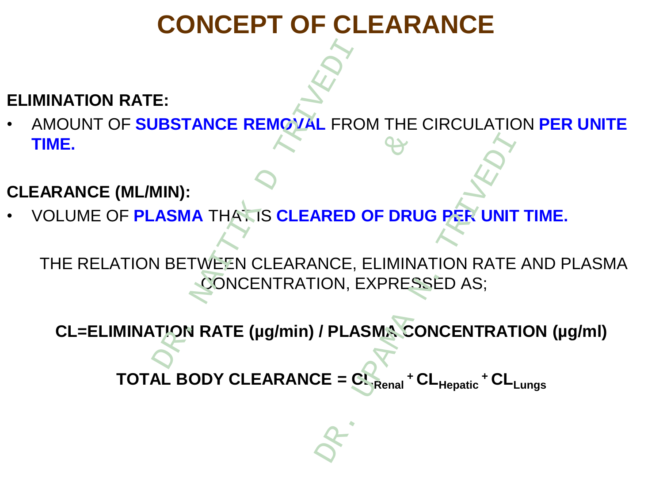# **CONCEPT OF CLEARANCE**

#### **ELIMINATION RATE:**

• AMOUNT OF **SUBSTANCE REMOVAL** FROM THE CIRCULATION **PER UNITE TIME.**

#### **CLEARANCE (ML/MIN):**

• VOLUME OF **PLASMA** THAT IS **CLEARED OF DRUG PER UNIT TIME.**

THE RELATION BETWEEN CLEARANCE, ELIMINATION RATE AND PLASMA CONCENTRATION, EXPRESSED AS; E:<br>
UBSTANCE REMOVAL FRO<br>
MIN):<br>
ASMA THATIS CLEARED<br>
N BETWEEN CLEARANCE, I<br>
CONCENTRATION, E<br>
TION RATE (µg/min) / PLAS A<br>
SIS CLEARED OF DRU<br>
CLEARANCE, ELIMIN<br>
ENTRATION, EXPRES<br>
(µg/min) / PLASMA CONTRATION WRED OF DRUG PER UNIT<br>
NCE, ELIMINATION RATE<br>
ION, EXPRESSED AS;<br>
/ PLASMA CONCENTRAT<br>
CE = CL<sub>Renal</sub> + CL<sub>Hepatic</sub> + CL<sub>I</sub>

**CL=ELIMINATION RATE (µg/min) / PLASMA CONCENTRATION (µg/ml)**

 $\textbf{TOTAL BODY CLEARANCE} = \textbf{CL}$ 

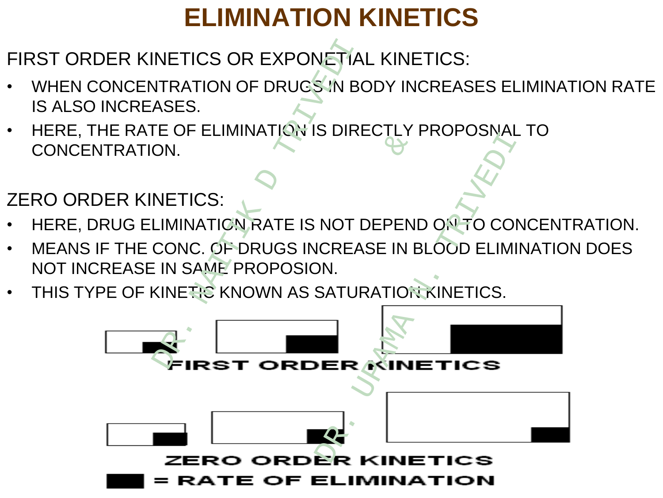# **ELIMINATION KINETICS**

FIRST ORDER KINETICS OR EXPONETIAL KINETICS:

- WHEN CONCENTRATION OF DRUGS IN BODY INCREASES ELIMINATION RATE IS ALSO INCREASES.
- HERE, THE RATE OF ELIMINATION IS DIRECTLY PROPOSNAL TO CONCENTRATION.

ZERO ORDER KINETICS:

- HERE, DRUG ELIMINATION RATE IS NOT DEPEND ON TO CONCENTRATION.
- MEANS IF THE CONC. OF DRUGS INCREASE IN BLOOD ELIMINATION DOES NOT INCREASE IN SAME PROPOSION.
- THIS TYPE OF KINETIC KNOWN AS SATURATION KINETICS.

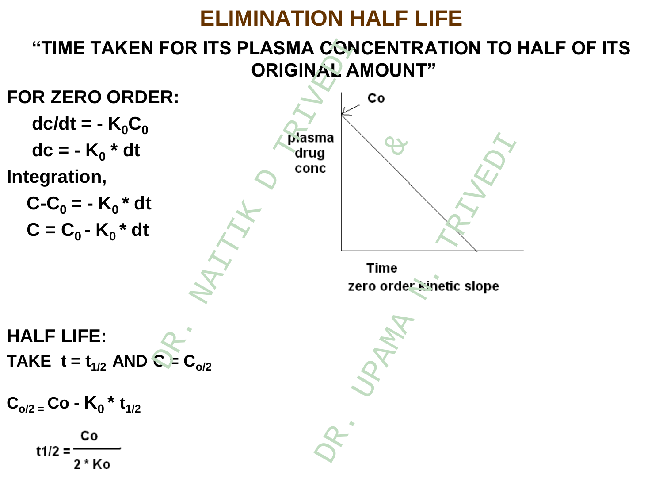# **ELIMINATION HALF LIFE**

# **"TIME TAKEN FOR ITS PLASMA CONCENTRATION TO HALF OF ITS ORIGINAL AMOUNT"**

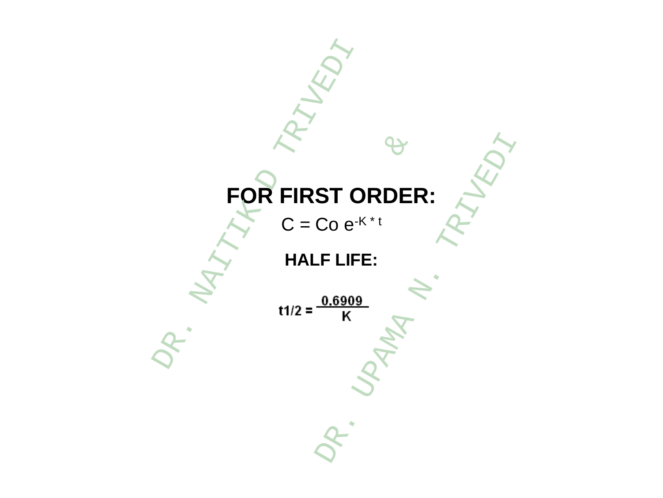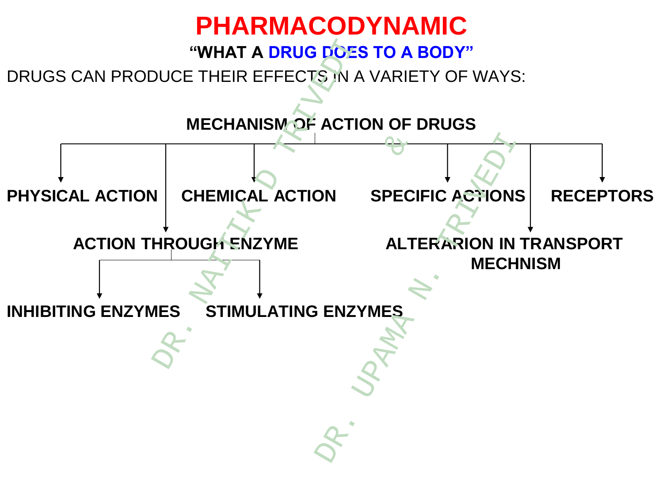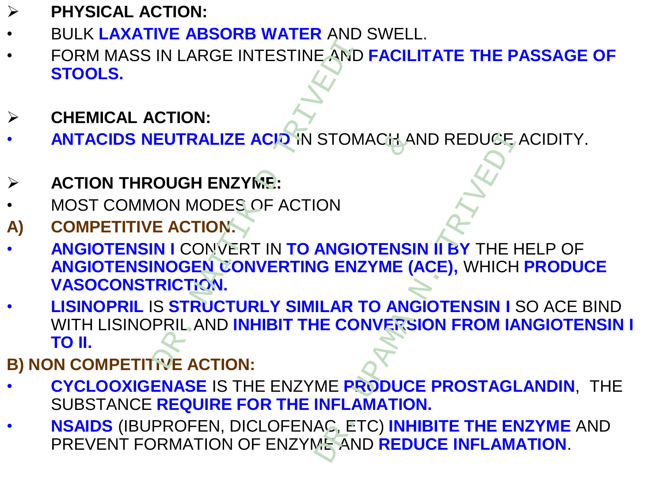- **PHYSICAL ACTION:**
- BULK **LAXATIVE ABSORB WATER** AND SWELL.
- FORM MASS IN LARGE INTESTINE AND **FACILITATE THE PASSAGE OF STOOLS.**
- **CHEMICAL ACTION:**
- **ANTACIDS NEUTRALIZE ACID** IN STOMACH AND REDUCE ACIDITY.
- **ACTION THROUGH ENZYME:**
- MOST COMMON MODES OF ACTION
- **A) COMPETITIVE ACTION:**
- **ANGIOTENSIN I** CONVERT IN **TO ANGIOTENSIN II BY** THE HELP OF **ANGIOTENSINOGEN CONVERTING ENZYME (ACE),** WHICH **PRODUCE VASOCONSTRICTION.**
- **LISINOPRIL** IS **STRUCTURLY SIMILAR TO ANGIOTENSIN I** SO ACE BIND WITH LISINOPRIL AND **INHIBIT THE CONVERSION FROM IANGIOTENSIN I TO II.** IN LARGE INTESTINE AND<br>
CTION:<br>
CTION:<br>
CTION:<br>
CUTRALIZE ACID IN STOM<br>
OUGH ENZYME:<br>
ION MODES OF ACTION<br>
E ACTION:<br>
N I CONVERT IN TO ANGIO<br>
NOGEN CONVERTING ENZ<br>
RICTION.<br>
S STRUCTURLY SIMILAR T<br>
PRIL AND INHIBIT THE CO ACID IN STOMACH AND INTO THE CONTRACTERENT TO ANGIOTENS!<br>
T IN TO ANGIOTENS!<br>
WERTING ENZYME (ANGINE)<br>
RLY SIMILAR TO ANG<br>
HIBIT THE CONVERS<br>
:<br>
:<br>
:<br>
E ENZYME PRODUCIOR THE INFLAMATION STOMACH AND REDUCE<br>
ON<br>
ANGIOTENSIN II BY THE H<br>
G ENZYME (ACE), WHICH<br>
ILAR TO ANGIOTENSIN I<br>
IE CONVERSION FROM IA<br>
ME PRODUCE PROSTAGI<br>
INFLAMATION.<br>
AC, ETC) INHIBITE THE EI<br>
ME AND REDUCE INFLAM
- **B) NON COMPETITIVE ACTION:**
- **CYCLOOXIGENASE** IS THE ENZYME **PRODUCE PROSTAGLANDIN**, THE SUBSTANCE **REQUIRE FOR THE INFLAMATION.**
- **NSAIDS** (IBUPROFEN, DICLOFENAC, ETC) **INHIBITE THE ENZYME** AND PREVENT FORMATION OF ENZYME AND **REDUCE INFLAMATION**.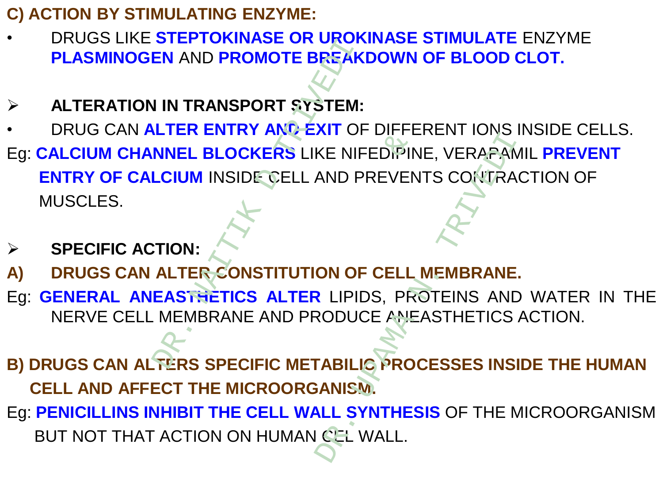- **C) ACTION BY STIMULATING ENZYME:**
- DRUGS LIKE **STEPTOKINASE OR UROKINASE STIMULATE** ENZYME **PLASMINOGEN** AND **PROMOTE BREAKDOWN OF BLOOD CLOT.**
- **ALTERATION IN TRANSPORT SYSTEM:**
- DRUG CAN **ALTER ENTRY AND EXIT** OF DIFFERENT IONS INSIDE CELLS.
- Eg: **CALCIUM CHANNEL BLOCKERS** LIKE NIFEDIPINE, VERAPAMIL **PREVENT ENTRY OF CALCIUM** INSIDE CELL AND PREVENTS CONTRACTION OF MUSCLES. UNIVERSION ON THE MAND PROMOTE BREAK<br>
IN TRANSPORT SYSTEM:<br>
LITER ENTRY AND EXIT OF<br>
NNEL BLOCKERS LIKE NIF<br>
LCIUM INSIDE GELL AND P<br>
TION:<br>
ALTER CONSTITUTION OF<br>
EASTHETICS ALTER LIPID<br>
MEMBRANE AND PRODUC **KERS LIKE NIFEDIPIN**<br>EQELL AND PREVEN<br>ISTITUTION OF CELL<br>S ALTER LIPIDS, PREAD PRODUCE AND<br>IFIC METABILIC PRODUCE AND<br>IFIC METABILIC PROD WE NIFEDIPINE, VERAPAN<br>AND PREVENTS CONTRA<br>AND PREVENTS CONTRA<br>CON OF CELL MEMBRANE<br>REPOSE ANEASTHETICS<br>CODUCE ANEASTHETICS<br>CEL WALL.
- **SPECIFIC ACTION:**
- **A) DRUGS CAN ALTER CONSTITUTION OF CELL MEMBRANE.**
- Eg: **GENERAL ANEASTHETICS ALTER** LIPIDS, PROTEINS AND WATER IN THE NERVE CELL MEMBRANE AND PRODUCE ANEASTHETICS ACTION.
- **B) DRUGS CAN ALTERS SPECIFIC METABILIC PROCESSES INSIDE THE HUMAN CELL AND AFFECT THE MICROORGANISM.**
- Eg: **PENICILLINS INHIBIT THE CELL WALL SYNTHESIS** OF THE MICROORGANISM BUT NOT THAT ACTION ON HUMAN CEL WALL.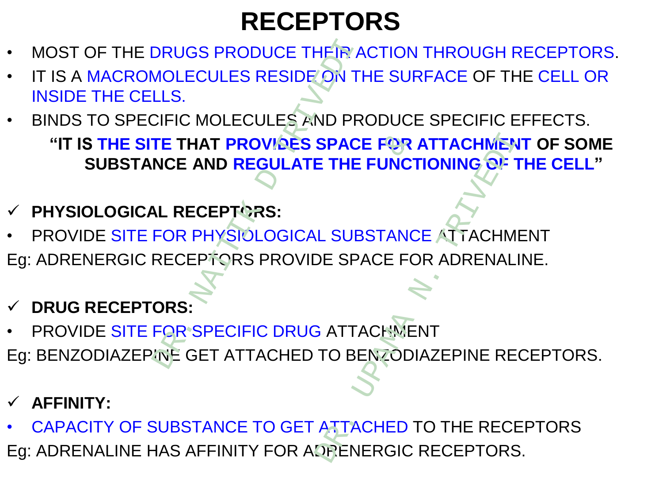# **RECEPTORS**

- MOST OF THE DRUGS PRODUCE THEIR ACTION THROUGH RECEPTORS.
- IT IS A MACROMOLECULES RESIDE ON THE SURFACE OF THE CELL OR INSIDE THE CELLS.
- BINDS TO SPECIFIC MOLECULES AND PRODUCE SPECIFIC EFFECTS. **"IT IS THE SITE THAT PROVIDES SPACE FOR ATTACHMENT OF SOME SUBSTANCE AND REGULATE THE FUNCTIONING OF THE CELL"** DRUGS PRODUCE THE R A<br>
MOLECULES RESIDE ON THE<br>
LLS.<br>
CIFIC MOLECULES AND PR<br>
TE THAT PROVIDES SPACI<br>
NCE AND REGULATE THE<br>
LA RECEPTORS:<br>
FOR PHYSIOLOGICAL SUB<br>
RECEPTORS PROVIDE SPA<br>
ORS:<br>
FOR SPECIFIC DRUG ATTA<br>
NCE GET
- **PHYSIOLOGICAL RECEPTORS:**
- PROVIDE SITE FOR PHYSIOLOGICAL SUBSTANCE ATTACHMENT Eg: ADRENERGIC RECEPTORS PROVIDE SPACE FOR ADRENALINE. **OVIDES SPACE FOR<br>EGULATE THE FUNCT<br>PRS:<br>DLOGICAL SUBSTANC<br>S PROVIDE SPACE FC<br>TIC DRUG ATTACHME<br>TACHED TO BENZODI** SPACE FOR ATTACHMEN<br>
E THE FUNCTIONING OF<br>
L SUBSTANCE ATTACHM<br>
DE SPACE FOR ADRENAL<br>
S<br>
S<br>
S<br>
ATTACHED TO THE RECH<br>
DRENERGIC RECEPTORS
- **DRUG RECEPTORS:**
- PROVIDE SITE FOR SPECIFIC DRUG ATTACHMENT
- Eg: BENZODIAZEPINE GET ATTACHED TO BENZODIAZEPINE RECEPTORS.
- **AFFINITY:**
- CAPACITY OF SUBSTANCE TO GET ATTACHED TO THE RECEPTORS Eg: ADRENALINE HAS AFFINITY FOR ADRENERGIC RECEPTORS.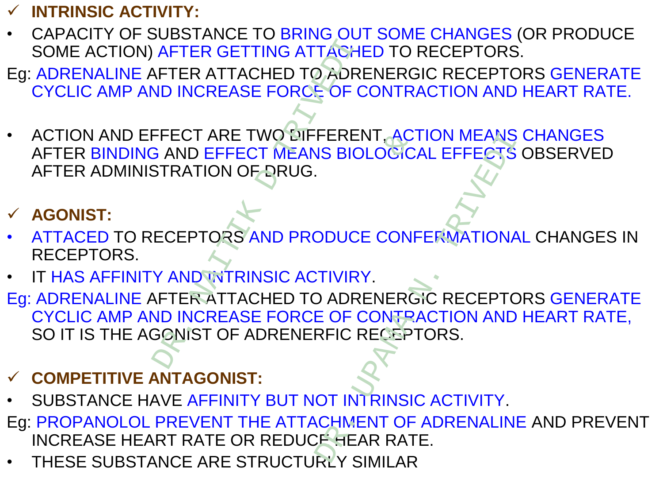#### **INTRINSIC ACTIVITY:**

- CAPACITY OF SUBSTANCE TO BRING OUT SOME CHANGES (OR PRODUCE SOME ACTION) AFTER GETTING ATTACHED TO RECEPTORS.
- Eg: ADRENALINE AFTER ATTACHED TO ADRENERGIC RECEPTORS GENERATE CYCLIC AMP AND INCREASE FORCE OF CONTRACTION AND HEART RATE.
- ACTION AND EFFECT ARE TWO DIFFERENT, ACTION MEANS CHANGES AFTER BINDING AND EFFECT MEANS BIOLOGICAL EFFECTS OBSERVED AFTER ADMINISTRATION OF DRUG. AFTER GETTING ATTACHER<br>
NETER ATTACHED TO ADRE<br>
ND INCREASE FORCE OF C<br>
FFECT ARE TWO BIFFERE<br>
FFECT ARE TWO BIFFERE<br>
FFECT ARE TWO BIFFERE<br>
SAND EFFECT MEANS BIO<br>
STRATION OF BRUG.<br>
AND INCREASE FORCE OF C<br>
SONIST OF ADRE

## **AGONIST:**

- ATTACED TO RECEPTORS AND PRODUCE CONFERMATIONAL CHANGES IN RECEPTORS.
- IT HAS AFFINITY AND INTRINSIC ACTIVIRY.
- Eg: ADRENALINE AFTER ATTACHED TO ADRENERGIC RECEPTORS GENERATE CYCLIC AMP AND INCREASE FORCE OF CONTRACTION AND HEART RATE, SO IT IS THE AGONIST OF ADRENERFIC RECEPTORS. NUCLIP FERENT, ACTION MEANS<br>CT MEANS BIOLOGICAL EFFECTS<br>FARUG.<br>WAND PRODUCE CONFERMATIONA<br>INSIC ACTIVIRY.<br>CHED TO ADRENERGIC RECEPTOR<br>E FORCE OF CONTRACTION AND<br>NDRENERFIC RECEPTORS.<br>T:<br>Y BUT NOT INTRINSIC ACTIVITY.<br>HE ATT

### **COMPETITIVE ANTAGONIST:**

- SUBSTANCE HAVE AFFINITY BUT NOT INTRINSIC ACTIVITY.
- Eg: PROPANOLOL PREVENT THE ATTACHMENT OF ADRENALINE AND PREVENT INCREASE HEART RATE OR REDUCE HEAR RATE.
- THESE SUBSTANCE ARE STRUCTURLY SIMILAR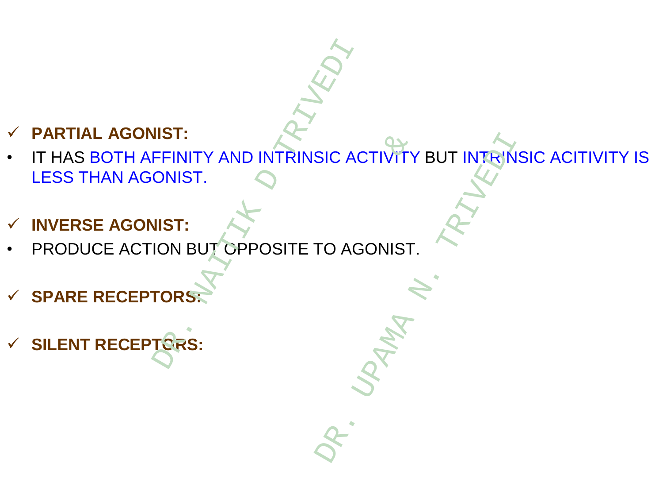#### **PARTIAL AGONIST:**

- IT HAS BOTH AFFINITY AND INTRINSIC ACTIVITY BUT INTRINSIC ACITIVITY IS LESS THAN AGONIST. **SILENT AND THE RECEPTORS:**<br>
SILENT RECEPTORS:<br>
THAS BOTH AFFINITY AND INTRINSIC ACTES THAN AGONIST.<br>
DRODUCE ACTION BUT OPPOSITE TO AG<br>
CTRIVED BUT OPPOSITE TO AG<br>
CTRIVED BUT OPPOSITE TO AG<br>
CTRIVED BUT OPPOSITE TO AG & SIC ACTIVITY BUT INTRIN
- **INVERSE AGONIST:**
- PRODUCE ACTION BUT OPPOSITE TO AGONIST.
- **SPARE RECEPTOR**
-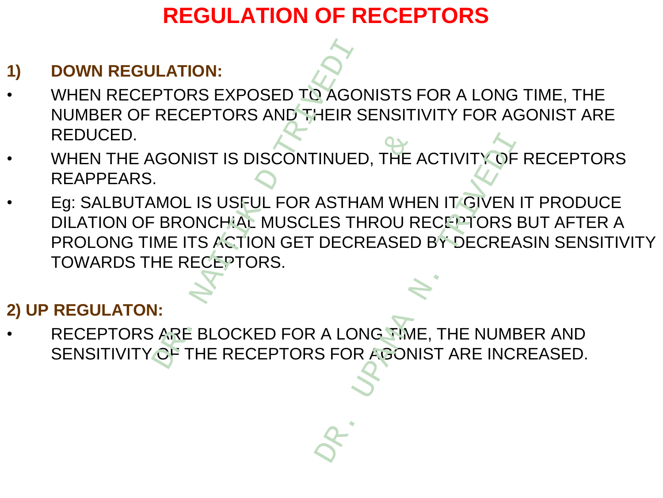# **REGULATION OF RECEPTORS**

#### **1) DOWN REGULATION:**

- WHEN RECEPTORS EXPOSED TO AGONISTS FOR A LONG TIME, THE NUMBER OF RECEPTORS AND THEIR SENSITIVITY FOR AGONIST ARE REDUCED.
- WHEN THE AGONIST IS DISCONTINUED, THE ACTIVITY OF RECEPTORS REAPPEARS.
- Eg: SALBUTAMOL IS USFUL FOR ASTHAM WHEN IT GIVEN IT PRODUCE DILATION OF BRONCHIAL MUSCLES THROU RECEPTORS BUT AFTER A PROLONG TIME ITS ACTION GET DECREASED BY DECREASIN SENSITIVITY TOWARDS THE RECEPTORS. **DOWN REGULATION:**<br>
WHEN RECEPTORS EXPOSED TO AGONISTS FOR A LONG TIME, THE<br>
NUMBER OF RECEPTORS AND THEIR SENSITIVITY FOR AGONIST ARE<br>
NUMBER OF RECEPTORS AND THEIR SENSITIVITY OF RECEPT<br>
REAPPEARS.<br>
Eg: SALBUTAMOL IS USF DISCONTINUED, THE AND NOT THE ANDERENT WAS CONTINUED.<br>THE MUSCLES THROU RON GET DECREASED<br>DRS.<br>CED FOR A LONG THAN<br>CEPTORS FOR AGON THE ACTIVITY OF<br>ASTHAM WHEN IT GIVEN<br>LES THROU RECEPTORS<br>DECREASED BY DECREASED<br>A LONG TIME, THE NUME<br>S FOR AGONIST ARE INC

#### **2) UP REGULATON:**

RECEPTORS ARE BLOCKED FOR A LONG TIME, THE NUMBER AND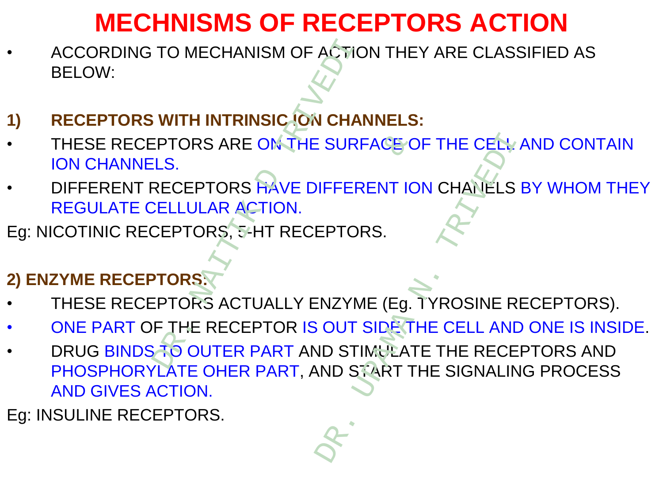# **MECHNISMS OF RECEPTORS ACTION**

- ACCORDING TO MECHANISM OF ACTION THEY ARE CLASSIFIED AS BELOW:
- **1) RECEPTORS WITH INTRINSIC ION CHANNELS:**
- THESE RECEPTORS ARE ON THE SURFACE OF THE CELL AND CONTAIN ION CHANNELS.
- DIFFERENT RECEPTORS HAVE DIFFERENT ION CHANELS BY WHOM THEY REGULATE CELLULAR ACTION. TO MECHANISM OF ACTIC<br>
WITH INTRINSIC JON CHAI<br>
PTORS ARE ON THE SURF<br>
LS.<br>
RECEPTORS HAVE DIFFER<br>
CELLULAR ACTION.<br>
CEPTORS 5-HT RECEPTOR<br>
TORS ACTUALLY ENZYM<br>
F THE RECEPTOR IS OUT :<br>
TO OUTER PART AND STI
- Eg: NICOTINIC RECEPTORS, 5-HT RECEPTORS.
- **2) ENZYME RECEPTORS:**
- THESE RECEPTORS ACTUALLY ENZYME (Eg. TYROSINE RECEPTORS).
- ONE PART OF THE RECEPTOR IS OUT SIDE THE CELL AND ONE IS INSIDE.
- DRUG BINDS TO OUTER PART AND STIMULATE THE RECEPTORS AND PHOSPHORYLATE OHER PART, AND START THE SIGNALING PROCESS AND GIVES ACTION. E ONTHE SURFACE C ESURFACE OF THE CELL

Eg: INSULINE RECEPTORS.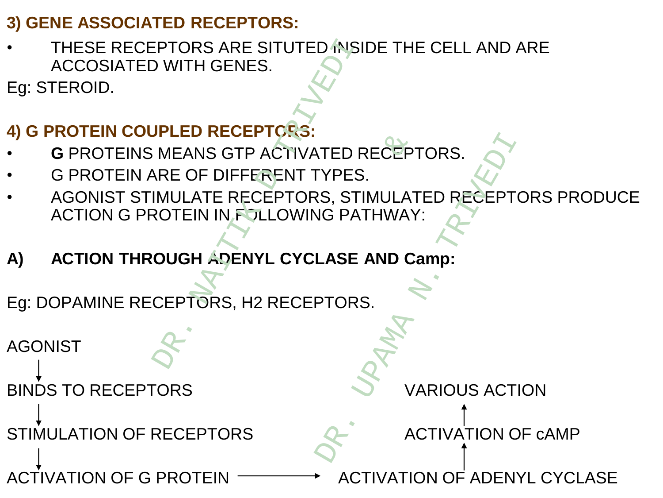#### **3) GENE ASSOCIATED RECEPTORS:**

THESE RECEPTORS ARE SITUTED INSIDE THE CELL AND ARE ACCOSIATED WITH GENES.

Eg: STEROID.

# **4) G PROTEIN COUPLED RECEPTORS:**

- **G** PROTEINS MEANS GTP ACTIVATED RECEPTORS.
- G PROTEIN ARE OF DIFFERENT TYPES.
- AGONIST STIMULATE RECEPTORS, STIMULATED RECEPTORS PRODUCE ACTION G PROTEIN IN FOLLOWING PATHWAY:
- **A) ACTION THROUGH ADENYL CYCLASE AND Camp:**

Eg: DOPAMINE RECEPTORS, H2 RECEPTORS.

AGONIST BINDS TO RECEPTORS AND MONOGRAPHIC MODEL OF VARIOUS ACTION STIMULATION OF RECEPTORS ACTIVATION OF CAMP ACTIVATION OF G PROTEIN  $\longrightarrow$  ACTIVATION OF ADENYL CYCLASE PTORS ARE SITUTED INSI<br>
D WITH GENES.<br>
D WITH GENES.<br>
DIPLED RECEPTORS:<br>
MEANS GTP ACTIVATED F<br>
RE OF DIFFERENT TYPES<br>
IMULATE RECEPTORS, STI<br>
CUGH ADENYL CYCLASE<br>
CEPTORS, H2 RECEPTORS PACTIVATED RECEPTIONS.<br>
ERENT TYPES.<br>
CEPTORS, STIMULAT<br>
PLLOWING PATHWAY<br>
IYL CYCLASE AND C:<br>
2 RECEPTORS. NTED RECEPTORS.<br>
EXPRES.<br>
SIGRATHWAY:<br>
LASE AND Camp:<br>
PTORS.<br>
ACTIVATION C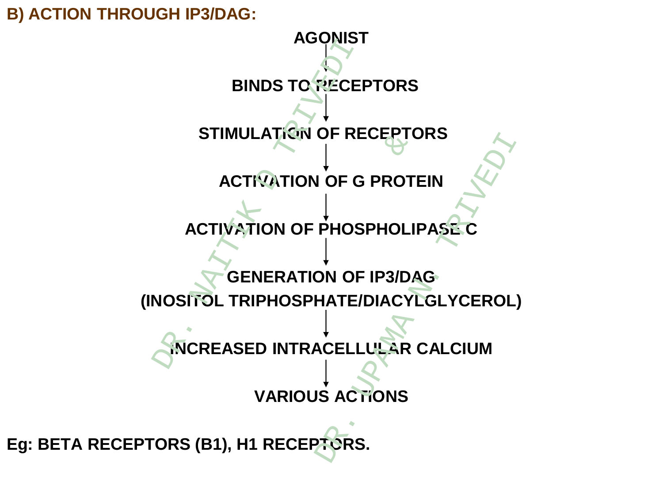

**Eg: BETA RECEPTORS (B1), H1 RECEPTORS.**